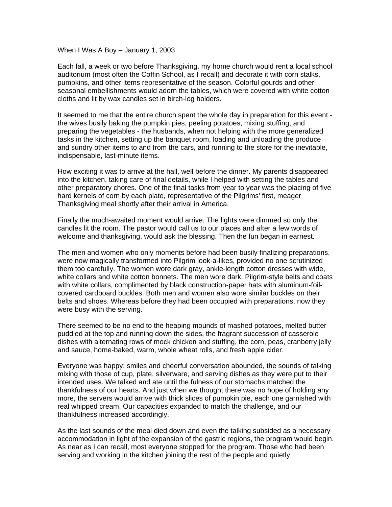When I Was A Boy – January 1, 2003

Each fall, a week or two before Thanksgiving, my home church would rent a local school auditorium (most often the Coffin School, as I recall) and decorate it with corn stalks, pumpkins, and other items representative of the season. Colorful gourds and other seasonal embellishments would adorn the tables, which were covered with white cotton cloths and lit by wax candles set in birch-log holders.

It seemed to me that the entire church spent the whole day in preparation for this event the wives busily baking the pumpkin pies, peeling potatoes, mixing stuffing, and preparing the vegetables - the husbands, when not helping with the more generalized tasks in the kitchen, setting up the banquet room, loading and unloading the produce and sundry other items to and from the cars, and running to the store for the inevitable, indispensable, last-minute items.

How exciting it was to arrive at the hall, well before the dinner. My parents disappeared into the kitchen, taking care of final details, while I helped with setting the tables and other preparatory chores. One of the final tasks from year to year was the placing of five hard kernels of corn by each plate, representative of the Pilgrims' first, meager Thanksgiving meal shortly after their arrival in America.

Finally the much-awaited moment would arrive. The lights were dimmed so only the candles lit the room. The pastor would call us to our places and after a few words of welcome and thanksgiving, would ask the blessing. Then the fun began in earnest.

The men and women who only moments before had been busily finalizing preparations, were now magically transformed into Pilgrim look-a-likes, provided no one scrutinized them too carefully. The women wore dark gray, ankle-length cotton dresses with wide, white collars and white cotton bonnets. The men wore dark, Pilgrim-style belts and coats with white collars, complimented by black construction-paper hats with aluminum-foilcovered cardboard buckles. Both men and women also wore similar buckles on their belts and shoes. Whereas before they had been occupied with preparations, now they were busy with the serving.

There seemed to be no end to the heaping mounds of mashed potatoes, melted butter puddled at the top and running down the sides, the fragrant succession of casserole dishes with alternating rows of mock chicken and stuffing, the corn, peas, cranberry jelly and sauce, home-baked, warm, whole wheat rolls, and fresh apple cider.

Everyone was happy; smiles and cheerful conversation abounded, the sounds of talking mixing with those of cup, plate, silverware, and serving dishes as they were put to their intended uses. We talked and ate until the fulness of our stomachs matched the thankfulness of our hearts. And just when we thought there was no hope of holding any more, the servers would arrive with thick slices of pumpkin pie, each one garnished with real whipped cream. Our capacities expanded to match the challenge, and our thankfulness increased accordingly.

As the last sounds of the meal died down and even the talking subsided as a necessary accommodation in light of the expansion of the gastric regions, the program would begin. As near as I can recall, most everyone stopped for the program. Those who had been serving and working in the kitchen joining the rest of the people and quietly